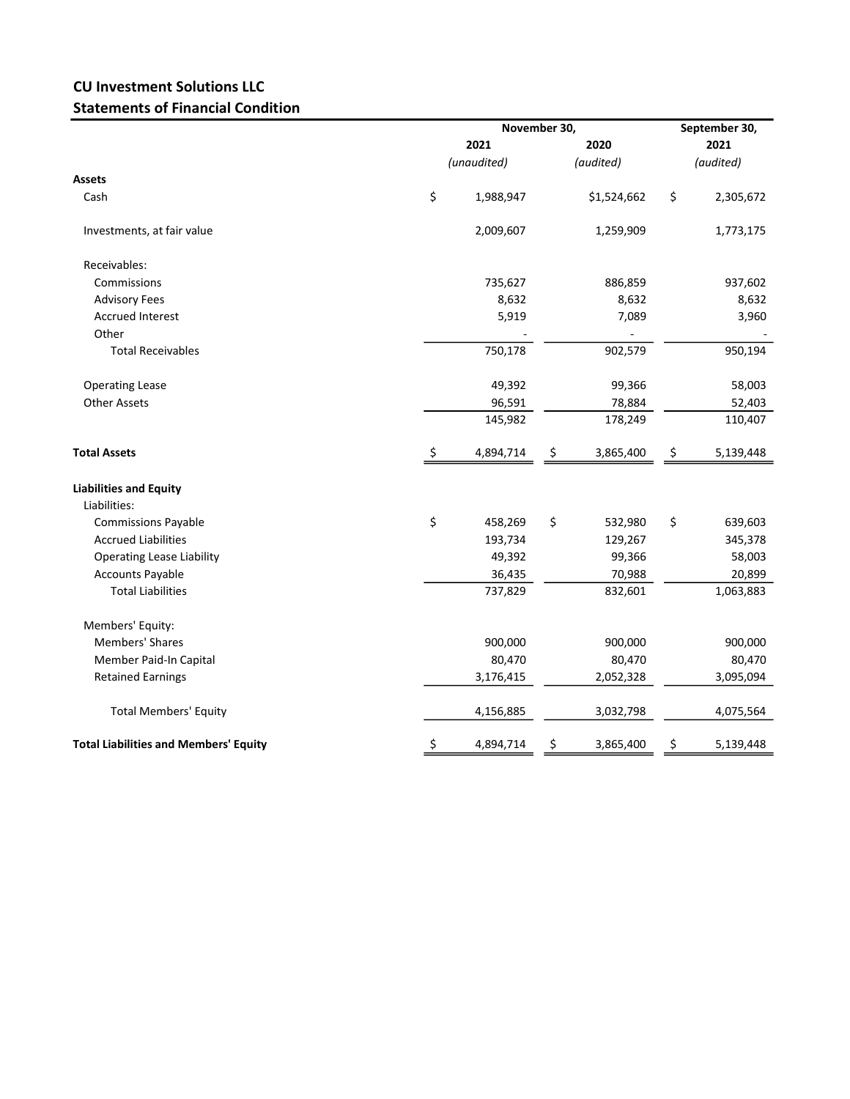## CU Investment Solutions LLC Statements of Financial Condition

|                                              |             | November 30, | September 30,<br>2021 |             |           |           |
|----------------------------------------------|-------------|--------------|-----------------------|-------------|-----------|-----------|
|                                              | 2021        |              |                       |             | 2020      |           |
|                                              | (unaudited) |              | (audited)             |             | (audited) |           |
| Assets                                       |             |              |                       |             |           |           |
| Cash                                         | \$          | 1,988,947    |                       | \$1,524,662 | \$        | 2,305,672 |
| Investments, at fair value                   |             | 2,009,607    |                       | 1,259,909   |           | 1,773,175 |
| Receivables:                                 |             |              |                       |             |           |           |
| Commissions                                  |             | 735,627      |                       | 886,859     |           | 937,602   |
| <b>Advisory Fees</b>                         |             | 8,632        |                       | 8,632       |           | 8,632     |
| <b>Accrued Interest</b>                      |             | 5,919        |                       | 7,089       |           | 3,960     |
| Other                                        |             |              |                       |             |           |           |
| <b>Total Receivables</b>                     |             | 750,178      |                       | 902,579     |           | 950,194   |
| <b>Operating Lease</b>                       |             | 49,392       |                       | 99,366      |           | 58,003    |
| <b>Other Assets</b>                          |             | 96,591       |                       | 78,884      |           | 52,403    |
|                                              |             | 145,982      |                       | 178,249     |           | 110,407   |
| <b>Total Assets</b>                          | \$          | 4,894,714    | \$                    | 3,865,400   | \$        | 5,139,448 |
| <b>Liabilities and Equity</b>                |             |              |                       |             |           |           |
| Liabilities:                                 |             |              |                       |             |           |           |
| <b>Commissions Payable</b>                   | \$          | 458,269      | \$                    | 532,980     | \$        | 639,603   |
| <b>Accrued Liabilities</b>                   |             | 193,734      |                       | 129,267     |           | 345,378   |
| <b>Operating Lease Liability</b>             |             | 49,392       |                       | 99,366      |           | 58,003    |
| <b>Accounts Payable</b>                      |             | 36,435       |                       | 70,988      |           | 20,899    |
| <b>Total Liabilities</b>                     |             | 737,829      |                       | 832,601     |           | 1,063,883 |
| Members' Equity:                             |             |              |                       |             |           |           |
| <b>Members' Shares</b>                       |             | 900,000      |                       | 900,000     |           | 900,000   |
| Member Paid-In Capital                       |             | 80,470       |                       | 80,470      |           | 80,470    |
| <b>Retained Earnings</b>                     |             | 3,176,415    |                       | 2,052,328   |           | 3,095,094 |
| <b>Total Members' Equity</b>                 |             | 4,156,885    |                       | 3,032,798   |           | 4,075,564 |
| <b>Total Liabilities and Members' Equity</b> | \$          | 4,894,714    | \$                    | 3,865,400   | \$        | 5,139,448 |